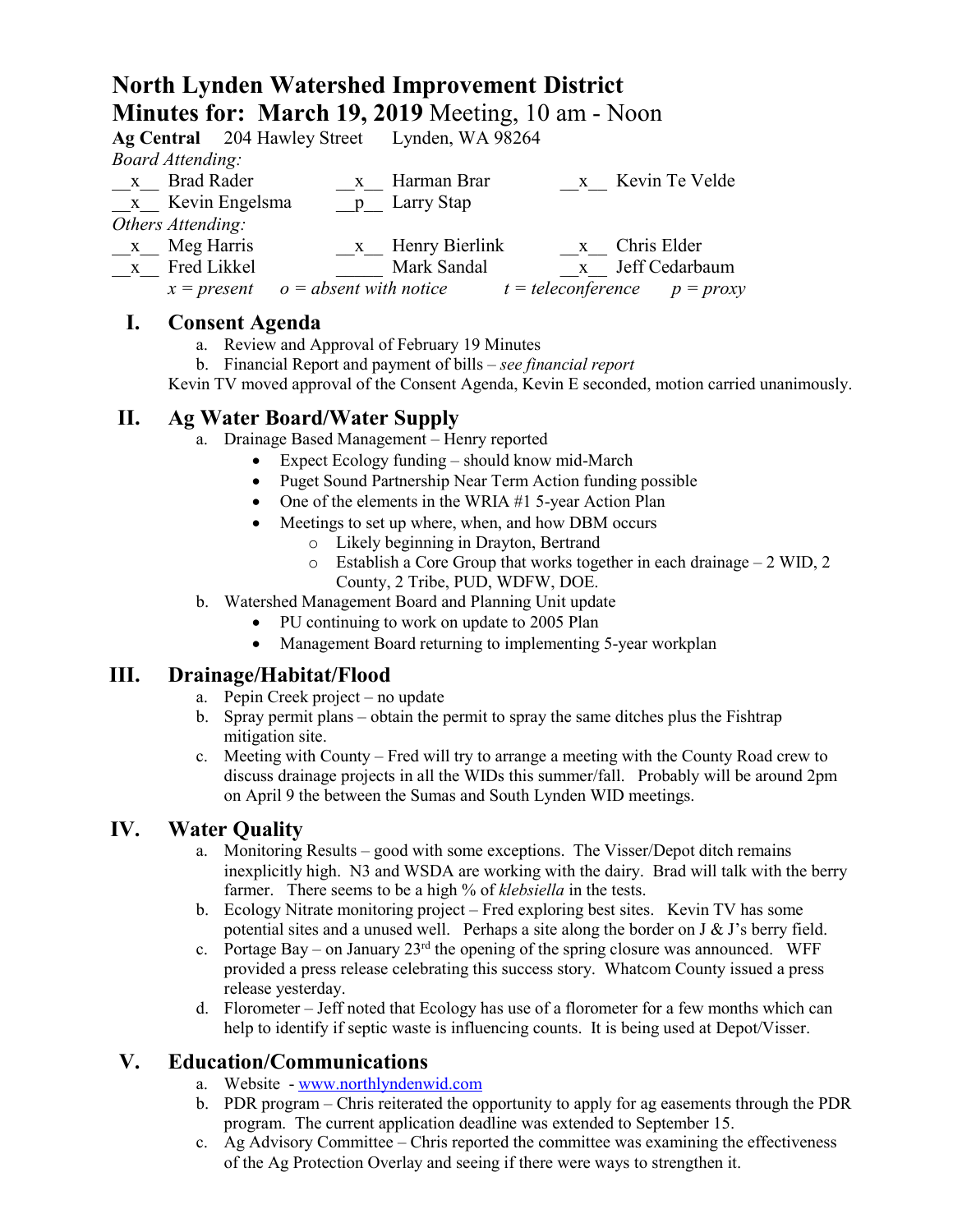# **North Lynden Watershed Improvement District Minutes for: March 19, 2019** Meeting, 10 am - Noon

|                         |                                        |  | Ag Central 204 Hawley Street Lynden, WA 98264 |  |                                  |
|-------------------------|----------------------------------------|--|-----------------------------------------------|--|----------------------------------|
| <b>Board Attending:</b> |                                        |  |                                               |  |                                  |
|                         | x Brad Rader                           |  | x Harman Brar                                 |  | x Kevin Te Velde                 |
|                         | x Kevin Engelsma                       |  | p Larry Stap                                  |  |                                  |
| Others Attending:       |                                        |  |                                               |  |                                  |
| $\mathbf{X}$            | Meg Harris                             |  | x Henry Bierlink                              |  | x Chris Elder                    |
|                         | x Fred Likkel                          |  | Mark Sandal                                   |  | x Jeff Cedarbaum                 |
|                         | $x = present$ $o = absent$ with notice |  |                                               |  | $t = teleconference$ $p = proxy$ |

#### **I. Consent Agenda**

- a. Review and Approval of February 19 Minutes
- b. Financial Report and payment of bills *see financial report*

Kevin TV moved approval of the Consent Agenda, Kevin E seconded, motion carried unanimously.

#### **II. Ag Water Board/Water Supply**

- a. Drainage Based Management Henry reported
	- Expect Ecology funding should know mid-March
	- Puget Sound Partnership Near Term Action funding possible
	- One of the elements in the WRIA #1 5-year Action Plan
	- Meetings to set up where, when, and how DBM occurs
		- o Likely beginning in Drayton, Bertrand
		- o Establish a Core Group that works together in each drainage 2 WID, 2 County, 2 Tribe, PUD, WDFW, DOE.
- b. Watershed Management Board and Planning Unit update
	- PU continuing to work on update to 2005 Plan
	- Management Board returning to implementing 5-year workplan

#### **III. Drainage/Habitat/Flood**

- a. Pepin Creek project no update
- b. Spray permit plans obtain the permit to spray the same ditches plus the Fishtrap mitigation site.
- c. Meeting with County Fred will try to arrange a meeting with the County Road crew to discuss drainage projects in all the WIDs this summer/fall. Probably will be around 2pm on April 9 the between the Sumas and South Lynden WID meetings.

#### **IV. Water Quality**

- a. Monitoring Results good with some exceptions. The Visser/Depot ditch remains inexplicitly high. N3 and WSDA are working with the dairy. Brad will talk with the berry farmer. There seems to be a high % of *klebsiella* in the tests.
- b. Ecology Nitrate monitoring project Fred exploring best sites. Kevin TV has some potential sites and a unused well. Perhaps a site along the border on J & J's berry field.
- c. Portage Bay on January  $23<sup>rd</sup>$  the opening of the spring closure was announced. WFF provided a press release celebrating this success story. Whatcom County issued a press release yesterday.
- d. Florometer Jeff noted that Ecology has use of a florometer for a few months which can help to identify if septic waste is influencing counts. It is being used at Depot/Visser.

#### **V. Education/Communications**

- a. Website [www.northlyndenwid.com](http://www.northlyndenwid.com/)
- b. PDR program Chris reiterated the opportunity to apply for ag easements through the PDR program. The current application deadline was extended to September 15.
- c. Ag Advisory Committee Chris reported the committee was examining the effectiveness of the Ag Protection Overlay and seeing if there were ways to strengthen it.